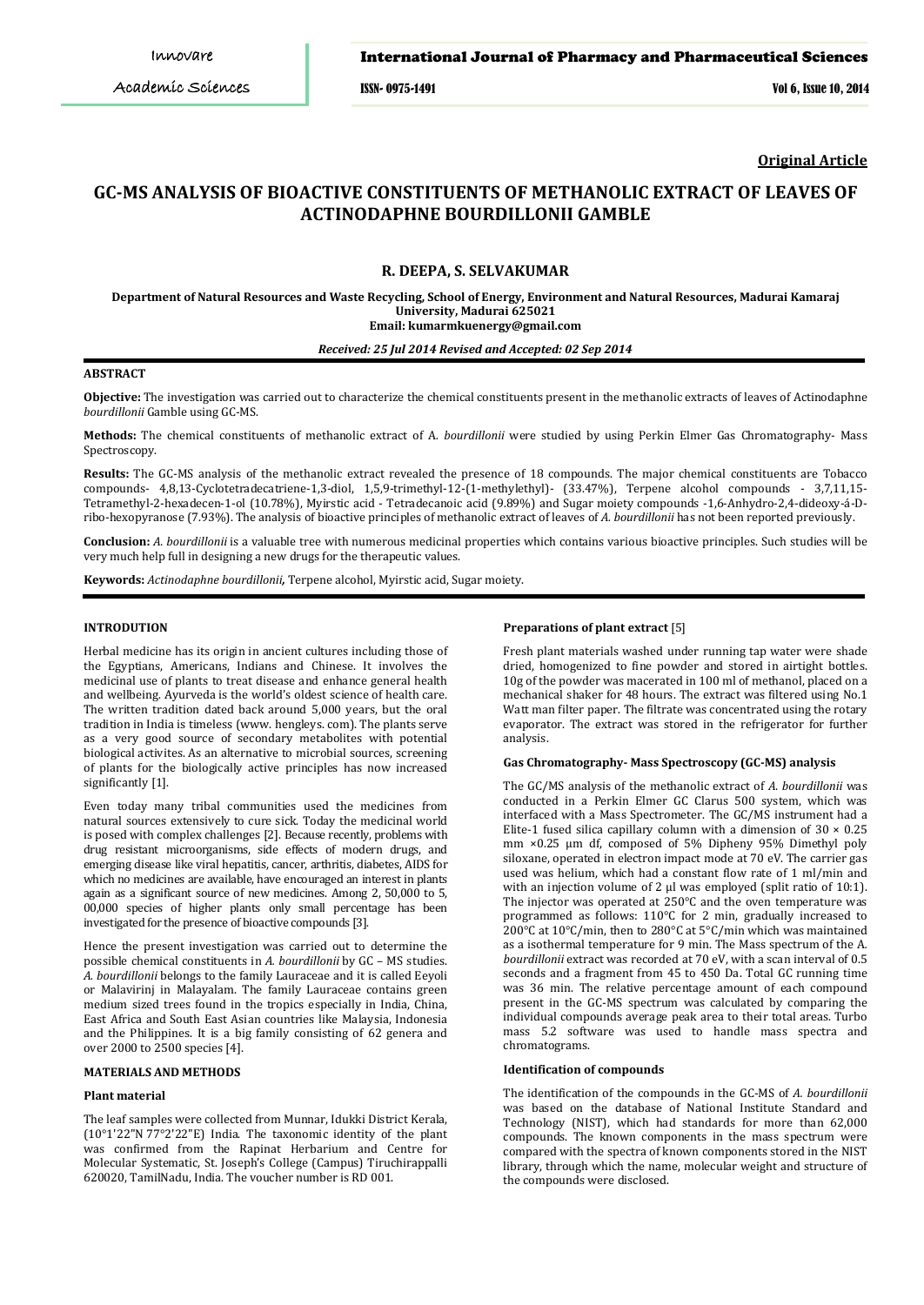ISSN- 0975-1491 Vol 6, Issue 10, 2014

**Original Article**

# **GC-MS ANALYSIS OF BIOACTIVE CONSTITUENTS OF METHANOLIC EXTRACT OF LEAVES OF ACTINODAPHNE BOURDILLONII GAMBLE**

## **R. DEEPA, S. SELVAKUMAR**

**Department of Natural Resources and Waste Recycling, School of Energy, Environment and Natural Resources, Madurai Kamaraj University, Madurai 625021 Email: kumarmkuenergy@gmail.com** 

## *Received: 25 Jul 2014 Revised and Accepted: 02 Sep 2014*

# **ABSTRACT**

**Objective:** The investigation was carried out to characterize the chemical constituents present in the methanolic extracts of leaves of Actinodaphne *bourdillonii* Gamble using GC-MS.

**Methods:** The chemical constituents of methanolic extract of A*. bourdillonii* were studied by using Perkin Elmer Gas Chromatography- Mass Spectroscopy.

**Results:** The GC-MS analysis of the methanolic extract revealed the presence of 18 compounds. The major chemical constituents are Tobacco compounds- 4,8,13-Cyclotetradecatriene-1,3-diol, 1,5,9-trimethyl-12-(1-methylethyl)- (33.47%), Terpene alcohol compounds - 3,7,11,15- Tetramethyl-2-hexadecen-1-ol (10.78%), Myirstic acid - Tetradecanoic acid (9.89%) and Sugar moiety compounds -1,6-Anhydro-2,4-dideoxy-á-Dribo-hexopyranose (7.93%). The analysis of bioactive principles of methanolic extract of leaves of *A. bourdillonii* has not been reported previously.

**Conclusion:** *A. bourdillonii* is a valuable tree with numerous medicinal properties which contains various bioactive principles. Such studies will be very much help full in designing a new drugs for the therapeutic values.

**Keywords:** *Actinodaphne bourdillonii,* Terpene alcohol, Myirstic acid, Sugar moiety.

# **INTRODUTION**

Herbal medicine has its origin in ancient cultures including those of the Egyptians, Americans, Indians and Chinese. It involves the medicinal use of plants to treat disease and enhance general health and wellbeing. Ayurveda is the world's oldest science of health care. The written tradition dated back around 5,000 years, but the oral tradition in India is timeless (www. hengleys. com). The plants serve as a very good source of secondary metabolites with potential biological activites. As an alternative to microbial sources, screening of plants for the biologically active principles has now increased significantly [1].

Even today many tribal communities used the medicines from natural sources extensively to cure sick. Today the medicinal world is posed with complex challenges [2]. Because recently, problems with drug resistant microorganisms, side effects of modern drugs, and emerging disease like viral hepatitis, cancer, arthritis, diabetes, AIDS for which no medicines are available, have encouraged an interest in plants again as a significant source of new medicines. Among 2, 50,000 to 5, 00,000 species of higher plants only small percentage has been investigated for the presence of bioactive compounds [3].

Hence the present investigation was carried out to determine the possible chemical constituents in *A. bourdillonii* by GC – MS studies. *A. bourdillonii* belongs to the family Lauraceae and it is called Eeyoli or Malavirinj in Malayalam. The family Lauraceae contains green medium sized trees found in the tropics especially in India, China, East Africa and South East Asian countries like Malaysia, Indonesia and the Philippines. It is a big family consisting of 62 genera and over 2000 to 2500 species [4].

# **MATERIALS AND METHODS**

#### **Plant material**

The leaf samples were collected from Munnar, Idukki District Kerala, (10°1'22"N 77°2'22"E) India. The taxonomic identity of the plant was confirmed from the Rapinat Herbarium and Centre for Molecular Systematic, St. Joseph's College (Campus) Tiruchirappalli 620020, TamilNadu, India. The voucher number is RD 001.

#### **Preparations of plant extract** [5]

Fresh plant materials washed under running tap water were shade dried, homogenized to fine powder and stored in airtight bottles. 10g of the powder was macerated in 100 ml of methanol, placed on a mechanical shaker for 48 hours. The extract was filtered using No.1 Watt man filter paper. The filtrate was concentrated using the rotary evaporator. The extract was stored in the refrigerator for further analysis.

#### **Gas Chromatography- Mass Spectroscopy (GC-MS) analysis**

The GC/MS analysis of the methanolic extract of *A. bourdillonii* was conducted in a Perkin Elmer GC Clarus 500 system, which was interfaced with a Mass Spectrometer. The GC/MS instrument had a Elite-1 fused silica capillary column with a dimension of  $30 \times 0.25$ mm ×0.25 µm df, composed of 5% Dipheny 95% Dimethyl poly siloxane, operated in electron impact mode at 70 eV. The carrier gas used was helium, which had a constant flow rate of 1 ml/min and with an injection volume of 2 µl was employed (split ratio of 10:1). The injector was operated at 250°C and the oven temperature was programmed as follows: 110°C for 2 min, gradually increased to 200°C at 10°C/min, then to 280°C at 5°C/min which was maintained as a isothermal temperature for 9 min. The Mass spectrum of the A*. bourdillonii* extract was recorded at 70 eV, with a scan interval of 0.5 seconds and a fragment from 45 to 450 Da. Total GC running time was 36 min. The relative percentage amount of each compound present in the GC-MS spectrum was calculated by comparing the individual compounds average peak area to their total areas. Turbo mass 5.2 software was used to handle mass spectra and chromatograms.

#### **Identification of compounds**

The identification of the compounds in the GC-MS of *A. bourdillonii* was based on the database of National Institute Standard and Technology (NIST), which had standards for more than 62,000 compounds. The known components in the mass spectrum were compared with the spectra of known components stored in the NIST library, through which the name, molecular weight and structure of the compounds were disclosed.